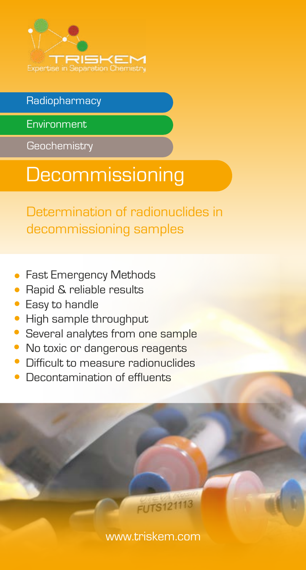

## Radiopharmacy

Environment

**Geochemistry** 

## **Decommissioning**

Determination of radionuclides in decommissioning samples

- Fast Emergency Methods
- Rapid & reliable results
- Easy to handle
- High sample throughput
- Several analytes from one sample
- No toxic or dangerous reagents
- Difficult to measure radionuclides
- Decontamination of effluents

<www.triskem.com>

**FUTS121113**